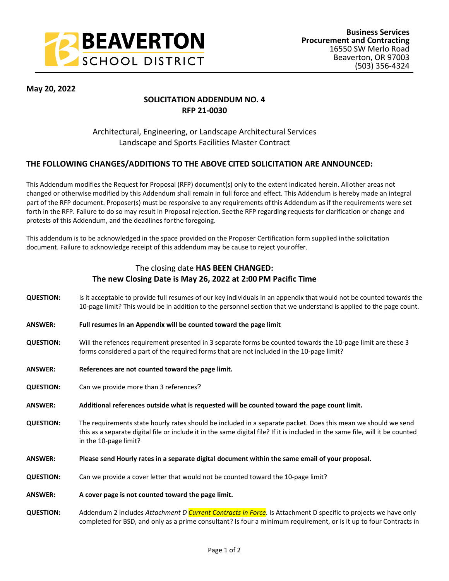

**May 20, 2022**

# **SOLICITATION ADDENDUM NO. 4 RFP 21-0030**

## Architectural, Engineering, or Landscape Architectural Services Landscape and Sports Facilities Master Contract

#### **THE FOLLOWING CHANGES/ADDITIONS TO THE ABOVE CITED SOLICITATION ARE ANNOUNCED:**

This Addendum modifies the Request for Proposal (RFP) document(s) only to the extent indicated herein. All other areas not changed or otherwise modified by this Addendum shall remain in full force and effect. This Addendum is hereby made an integral part of the RFP document. Proposer(s) must be responsive to any requirements of this Addendum as if the requirements were set forth in the RFP. Failure to do so may result in Proposal rejection. See the RFP regarding requests for clarification or change and protests of this Addendum, and the deadlines for the foregoing.

This addendum is to be acknowledged in the space provided on the Proposer Certification form supplied in the solicitation document. Failure to acknowledge receipt of this addendum may be cause to reject your offer.

### The closing date **HAS BEEN CHANGED: The new Closing Date is May 26, 2022 at 2:00 PM Pacific Time**

- **QUESTION:** Is it acceptable to provide full resumes of our key individuals in an appendix that would not be counted towards the 10-page limit? This would be in addition to the personnel section that we understand is applied to the page count.
- **ANSWER: Full resumes in an Appendix will be counted toward the page limit**
- **QUESTION:** Will the refences requirement presented in 3 separate forms be counted towards the 10-page limit are these 3 forms considered a part of the required forms that are not included in the 10-page limit?
- **ANSWER: References are not counted toward the page limit.**
- **QUESTION:** Can we provide more than 3 references?
- **ANSWER: Additional references outside what is requested will be counted toward the page count limit.**
- **QUESTION:** The requirements state hourly rates should be included in a separate packet. Does this mean we should we send this as a separate digital file or include it in the same digital file? If it is included in the same file, will it be counted in the 10-page limit?
- **ANSWER: Please send Hourly rates in a separate digital document within the same email of your proposal.**
- **QUESTION:** Can we provide a cover letter that would not be counted toward the 10-page limit?
- **ANSWER: A cover page is not counted toward the page limit.**
- **QUESTION:** Addendum 2 includes *Attachment D Current Contracts in Force*. Is Attachment D specific to projects we have only completed for BSD, and only as a prime consultant? Is four a minimum requirement, or is it up to four Contracts in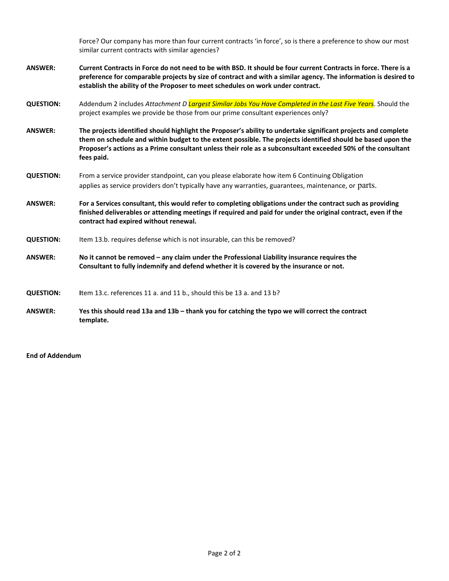Force? Our company has more than four current contracts 'in force', so is there a preference to show our most similar current contracts with similar agencies?

- **ANSWER: Current Contracts in Force do not need to be with BSD. It should be four current Contracts in force. There is a preference for comparable projects by size of contract and with a similar agency. The information is desired to establish the ability of the Proposer to meet schedules on work under contract.**
- **QUESTION:** Addendum 2 includes *Attachment D Largest Similar Jobs You Have Completed in the Last Five Years*. Should the project examples we provide be those from our prime consultant experiences only?
- **ANSWER: The projects identified should highlight the Proposer's ability to undertake significant projects and complete them on schedule and within budget to the extent possible. The projects identified should be based upon the Proposer's actions as a Prime consultant unless their role as a subconsultant exceeded 50% of the consultant fees paid.**
- **QUESTION:** From a service provider standpoint, can you please elaborate how item 6 Continuing Obligation applies as service providers don't typically have any warranties, guarantees, maintenance, or parts.
- **ANSWER: For a Services consultant, this would refer to completing obligations under the contract such as providing finished deliverables or attending meetings if required and paid for under the original contract, even if the contract had expired without renewal.**
- **QUESTION:** Item 13.b. requires defense which is not insurable, can this be removed?
- **ANSWER: No it cannot be removed any claim under the Professional Liability insurance requires the Consultant to fully indemnify and defend whether it is covered by the insurance or not.**

**QUESTION: I**tem 13.c. references 11 a. and 11 b., should this be 13 a. and 13 b?

**ANSWER: Yes this should read 13a and 13b – thank you for catching the typo we will correct the contract template.**

**End of Addendum**